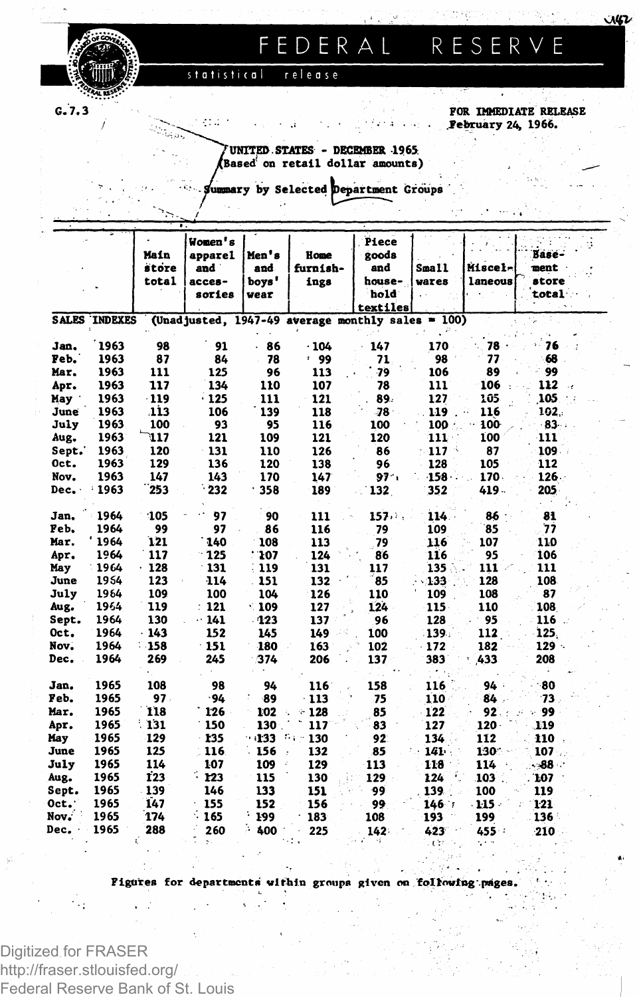

# **FEDERA L RESERV E**

**statistical release**

**G.7.3** 

#### **FOR IMMEDIATE RELEASE .February 24» 1966.**

مس

**UNITED. STATES - DECEMBER 1965 iased on retail dollar amounts)**

**luoaary by Selected department Groups '.**

|       |                      | Main<br>store<br>total | Women's<br>apparel<br>and "<br>acces-<br>sories | Men's<br>and.<br>boys'<br>wear | Home<br>furnish-<br>ings                            | Piece<br>goods<br>and<br>house-<br>hold<br>textiles | Small<br>wares   | Miscel-<br>laneous | Base-<br>ment<br>store<br>total |
|-------|----------------------|------------------------|-------------------------------------------------|--------------------------------|-----------------------------------------------------|-----------------------------------------------------|------------------|--------------------|---------------------------------|
|       | <b>SALES INDEXES</b> |                        |                                                 |                                | (Unadjusted, $1947-49$ average monthly sales = 100) |                                                     |                  |                    |                                 |
|       |                      |                        |                                                 |                                |                                                     |                                                     |                  |                    |                                 |
| Jan.  | 1963                 | 98                     | 91                                              | 86                             | $-104$                                              | 147                                                 | 170              | 78.                | $-76$                           |
| Feb.  | 1963                 | 87                     | 84                                              | 78                             | : 99                                                | 71                                                  | 98               | 77                 | 68                              |
| Mar.  | 1963                 | 111                    | 125                                             | 96                             | 113                                                 | -79                                                 | 106              | 89                 | 99                              |
| Apr.  | 1963                 | 117                    | 134                                             | 110                            | 107                                                 | 78                                                  | 111              | 106                | 112<br>$\mathcal{A}$            |
| May   | 1963                 | $-119$                 | $\cdot$ 125                                     | 111                            | 121                                                 | 89.                                                 | 127              | 105                | 105                             |
| June  | 1963                 | 113                    | 106                                             | 139                            | 118                                                 | -78 -                                               | 119              | 116                | 102.                            |
| July  | 1963                 | 100                    | 93                                              | 95                             | 116                                                 | 100                                                 | 100              | 100                | 83                              |
| Aug.  | 1963                 | 417                    | 121                                             | 109                            | 121                                                 | 120                                                 | 111              | 100                | 111                             |
| Sept. | 1963                 | 120                    | 131                                             | 110                            | 126                                                 | 86                                                  | $117 -$          | 87                 | 109.                            |
| Oct.  | 1963                 | 129                    | 136                                             | 120                            | 138                                                 | 96                                                  | 128              | 105                | 112                             |
| Nov.  | 1963                 | 147                    | 143                                             | 170                            | 147                                                 | 97.1                                                | $158 -$          | 170.               | $126 -$                         |
| Dec.  | 1963<br>٤            | 253                    | 232                                             | 358                            | 189                                                 | 132                                                 | 352              | 419.               | 205                             |
| Jan,  | 1964                 | 105                    | 97                                              | 90                             | 111                                                 | 157.7.                                              | 114.             | 86                 | 81                              |
| Feb.  | 1964                 | 99                     | 97                                              | 86                             | 116                                                 | 79                                                  | 109              | 85                 | 77                              |
| Mar.  | 1964                 | 121                    | 140                                             | 108                            | 113                                                 | 79                                                  | 116              | 107                | 110                             |
| Apr.  | 1964                 | 117                    | 125                                             | : 107                          | 124                                                 | 86                                                  | 116              | 95                 | 106                             |
| May   | 1964                 | .128                   | 131                                             | 119                            | 131                                                 | 117                                                 | 135 <sub>1</sub> | 111                | 111                             |
| June  | 1954                 | 123                    | 114                                             | 151                            | 132                                                 | 85                                                  | 133              | 128                | 108                             |
| July  | 1964                 | 109                    | 100                                             | 104                            | 126                                                 | 110                                                 | 109              | 108                | 87                              |
| Aug.  | 1964                 | 119                    | : 121                                           | $\cdot$ 109                    | 127                                                 | 124                                                 | 115              | 110                | 108                             |
| Sept. | 1964                 | 130                    | $\cdot$ 141                                     | $-123$                         | 137                                                 | 96                                                  | 128              | 95                 | 116.                            |
| Oct.  | 1964                 | $-143$                 | 152                                             | 145                            | 149                                                 | 100                                                 | 139.             | 112                | 125.                            |
| Nov.  | 1964                 | $-158$                 | $-151$                                          | 180                            | 163                                                 | 102                                                 | 172              | 182                | $129 -$                         |
| Dec.  | 1964                 | 269                    | 245                                             | 374                            | 206                                                 | 137                                                 | 383              | 433                | 208                             |
| Jan.  | 1965                 | 108                    | 98                                              | 94                             | 116                                                 | 158                                                 | 116              | 94                 | -80                             |
| Feb.  | 1965                 | 97.                    | .94                                             | -89                            | 113                                                 | 75                                                  | 110              | 84                 | 73                              |
| Mar.  | 1965                 | 118                    | 126                                             | 102<br>Á,                      | 128<br>÷                                            | 85                                                  | 122              | 92                 | -99                             |
| Apr.  | 1965                 | : 131                  | 150                                             | 130                            | 117                                                 | 83                                                  | 127              | 120                | 119                             |
| May   | 1965                 | 129                    | 135                                             | 133                            | 将金丝<br>130                                          | 92                                                  | 134              | 112                | 110                             |
| June  | 1965                 | 125                    | 116                                             | 156                            | 132                                                 | 85                                                  | 141              | 130.               | 107                             |
| July  | 1965                 | 114                    | 107                                             | 109                            | 129                                                 |                                                     |                  | 114                |                                 |
|       | 1965                 | <b>123</b>             | 123                                             | 115                            | 130                                                 | 113                                                 | 118<br>124       | 103 <sub>1</sub>   | - 88 ∴                          |
| Aug.  | 1965                 | 139                    | 146                                             | 133                            |                                                     | 129                                                 |                  |                    | 107                             |
| Sept. |                      | 147                    |                                                 |                                | 151                                                 | 99                                                  | 139              | 100                | 119                             |
| Oct.  | 1965                 |                        | 155                                             | 152                            | 156                                                 | 99                                                  | 146.7            | $-1.15 -$          | 121                             |
| Nov.  | 1965                 | 174                    | 165                                             | 199                            | 183                                                 | 108                                                 | 193              | 199                | 136                             |
| Dec.  | 1965                 | 288                    | 260                                             | 400                            | 225                                                 | 142                                                 | 423              | 455                | 210                             |

**Figures** for departments within groups given on following

Digitized for FRASER http://fraser.stlouisfed.org/ Federal Reserve Bank of St. Louis

٠.,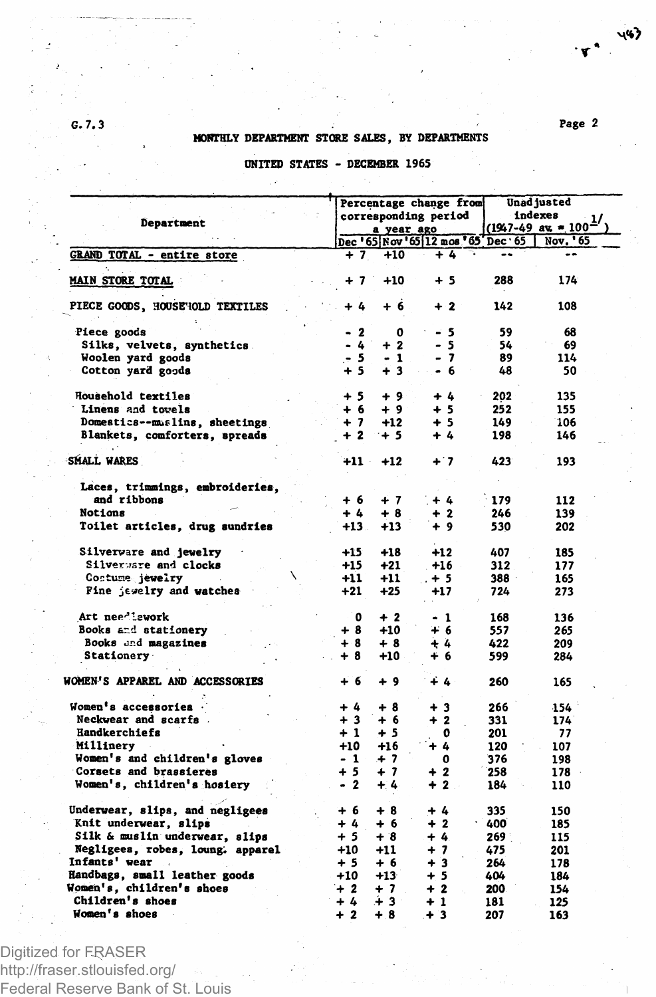# **G. 7.3 Page 2 MONTHLY DEPARTMENT STORE SALES, BY DEPARTMENTS**

**T** 

447

### **UNITED STATES - DECEMBER 1965**

|                                  |         |            | Percentage change from              |       | Unad justed<br>indexes<br>$(1947-49 \text{ au} - 100^2)$ |  |  |
|----------------------------------|---------|------------|-------------------------------------|-------|----------------------------------------------------------|--|--|
| Department                       |         |            | corresponding period                |       |                                                          |  |  |
|                                  |         | a year ago |                                     |       |                                                          |  |  |
|                                  |         |            | Dec '65 Nov '65 12 mos '65' Dec '65 |       | Nov. '65                                                 |  |  |
| GRAND TOTAL - entire store       | + 7     | $+10$      | $+ 4$                               |       |                                                          |  |  |
| <b>MAIN STORE TOTAL</b>          | + 7     | $+10$      | + 5                                 | 288   | 174                                                      |  |  |
| PIECE GOODS, HOUSE'IOLD TEXTILES | + 4     | $+6$       | $+2$                                | 142   | 108                                                      |  |  |
| Piece goods                      | $-2$    | 0          | $-5$                                | 59    | 68                                                       |  |  |
| Silks, velvets, synthetics.      | - 4     | $+2$       | - 5                                 | 54    | 69                                                       |  |  |
| Woolen yard goods                | . 5     | $-1$       | - 7                                 | 89    | 114                                                      |  |  |
| Cotton yard goods                | $+5$    | $+3$       | - 6                                 | 48    | 50                                                       |  |  |
| Household textiles               | $+5$    | +9         | $+4$                                | 202   | 135                                                      |  |  |
| Linens and towels                | $+6$    | $+9$       | $+5$                                | 252   | 155                                                      |  |  |
| Domestics--muslins, sheetings    | $+7$    | $+12$      | $+5$                                | 149   | 106                                                      |  |  |
| Blankets, comforters, spreads    | $+2$    | $+5$       | + 4                                 | 198   | 146                                                      |  |  |
| <b>SMALL WARES</b>               | $+11$   | $+12$      | $+7$                                | 423   | 193                                                      |  |  |
| Laces, trimmings, embroideries,  |         |            |                                     |       |                                                          |  |  |
| and ribbons                      | $+6$    | $+7$       | $+ 4$                               | 179   | 112                                                      |  |  |
| Notions                          | $+ 4$   | $+8$       | + 2                                 | 246   | 139                                                      |  |  |
| Toilet articles, drug sundries   | $+13$ . | $+13$      | + 9                                 | 530   | 202                                                      |  |  |
| Silverware and jewelry           | $+15$   | $+18$      | $+12$                               | 407   | 185                                                      |  |  |
| Silverware and clocks            | $+15$   | $+21$      | $+16$                               | 312   | 177                                                      |  |  |
| Contume jewelry                  | $+11$   | $+11$      | $. + 5$                             | 388   | 165                                                      |  |  |
| Fine jevelry and watches         | $+21$   | $+25$      | +17                                 | 724   | 273                                                      |  |  |
| Art needlework                   | 0       | $+2$       | - 1                                 | 168   | 136                                                      |  |  |
| Books and stationery             | + 8     | $+10$      | + 6                                 | 557   | 265                                                      |  |  |
| Books and magazines              | +8      | $+8$       | 4 A                                 | 422   | 209                                                      |  |  |
| Stationery                       | $+8$    | $+10$      | + 6                                 | 599   | 284                                                      |  |  |
| WOMEN'S APPAREL AND ACCESSORIES  | $+6$    | $+9$       | ∔ 4                                 | 260   | 165                                                      |  |  |
| Women's accessories .            | $+4$    | +8         | $+3$                                | 266   | 154                                                      |  |  |
| Neckwear and scarfs.             | $+3$    | $+6$       | $\overline{\mathbf{2}}$<br>÷        | 331   | 174                                                      |  |  |
| Handkerchiefs                    | $+1$    | + 5        | o                                   | 201   | 77                                                       |  |  |
| Millinery                        | $+10$   | $+16$      | + 4                                 | 120   | 107                                                      |  |  |
| Women's and children's gloves    | - 1     | $+7$       | O                                   | 376   | 198                                                      |  |  |
| Corsets and brassieres           | $+5$    | $+7$       | $+2$                                | 258   | 178                                                      |  |  |
| Women's, children's hosiery      | $-2$    | $+4$       | $+2$                                | 184   | 110                                                      |  |  |
|                                  |         |            |                                     |       |                                                          |  |  |
| Underwear, slips, and negligees  | $+6$    | $+8$       | + 4                                 | 335   | 150                                                      |  |  |
| Knit underwear, slips            | $+4$    | + 6        | $+2$                                | .400  | 185                                                      |  |  |
| Silk & muslin underwear, slips   | $+5$    | $+8$       | $+ 4.$                              | 269 : | 115                                                      |  |  |
| Negligees, robes, loung. apparel | $+10$   | $+11$      | $+7$                                | 475   | 201                                                      |  |  |
| Infants' wear                    | $+5$    | $+6$       | $+3$                                | 264   | 178                                                      |  |  |
| Handbags, small leather goods    | $+10$   | $+13$      | $+5$                                | 404   | 184                                                      |  |  |
| Women's, children's shoes        | $+2$    | + 7        | $+2$                                | 200   | 154                                                      |  |  |
| Children's shoes                 | $+4$    | ∔ 3        | $+1$                                | 181   | 125                                                      |  |  |
| Women's shoes                    | $+2$    | $+8$       | $+3$                                | 207   | 163                                                      |  |  |

Digitized for FRASER

http://fraser.stlouisfed.org/ Federal Reserve Bank of St. Louis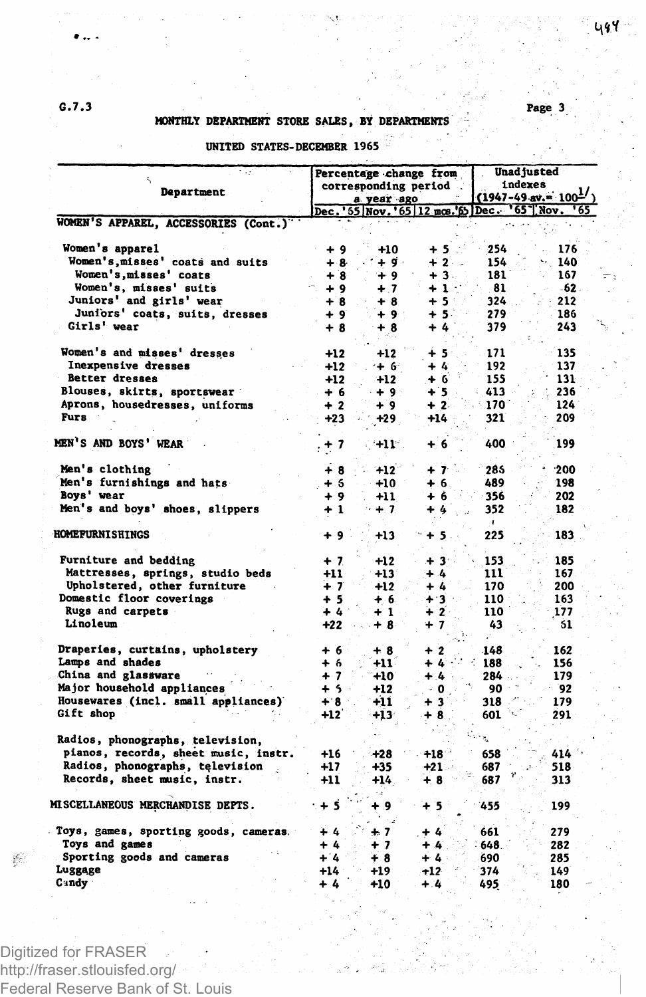### **G.7.3**

 $\bullet$  ...

#### **MONTHLY DEPARTMENT STORE SALES, BY DEPARTMENTS**

#### **Department Percentage change from corresponding period a year ago Unadjusted Indexes**   $1947-49$  av.  $\approx 100^{\frac{1}{2}}$ **WOMEN'S APPAREL, ACCESSORIES (Cont.) Dec.<sup>1</sup>551 Nov.' 65112 mos.'fib Dec65\*11 Nov. '65 Women's apparel + 9 +10 + 5 254 . 176 Women's,misses' coats and suits + 8 + 9 + 2 154 > 140 Women's,misses' coats + 8 + 9 + 3 181 167 Women's, misses' suits + 9 + 7 + 1 81 62 Juniors' and girls' wear + 8 + 8 + 5 324 212 Juniors<sup>1</sup> coats, suits, dresses + 9 + 9 + 5 279 186 Girls' wear + 8 + 8 + 4 379 243 Women's and misses' dresses +12 +12 + 5 171 135 Inexpensive dresses +12** +  $6$  +  $4$  +  $192$  +  $137$ <br> **Better dresses** +12 +  $12$  +  $6$  +  $155$  +  $131$ **Better dresses +12 +12 + 6 155 131 Blouses, skirts, sportswear + 6 + 9 + 5 413 : 236 Aprons, housedresses, uniforms + 2 + 9 + 2 170 124 Furs • 123 • +23 • +23 • +14 521 • 209 MEN\* S AND BOYS' WEAR .+ 7 +11 + 6 400 199 Men's clothing + 8 +12 + 7 285 \* 200 Men's furnishings and hats + 6 +10 + 6 489 198 Boys' wear + 9 +11 + 6 356 202 Men's and boys' shoes, slippers + 1 + 7 + 4 352 182 HOMEFURNISHINGS + 9 +13 + 5 225 183 Furniture and bedding + 7 +12 + 3 153 185 Mattresses, springs, studio beds**  $+11$   $+13$   $+4$   $111$   $167$ <br> **Upholstered, other furniture**  $+7$   $+12$   $+4$   $170$   $200$ **Upholstered,** other furniture  $+7$   $+12$   $+4$   $170$   $200$ <br> **omestic floor coverings**  $+5$   $+6$   $+3$   $110$   $163$ **Domestic floor coverings + 5 + 6 + 3 110 : 163 Rugs** and **carpets + 4 + 1 + 2 110 177**<br> **Linoleum +22 + 8 + 7 43 61 Linoleum +22 + 8 + 7 43 51 Draperies, curtains, upholstery + 6 + 8 + 2 148 162 Lamps and shades + 6 +11 + 4 ' : 188 156 China and glassware + 7 +10 + 4 284 179 Major household appliances +5 +12** 0 90 92<br> **Housewares (incl. small appliances)** +8 **+11** +3 318 179 **Housewares (incl. small appliances) + 8 +11**  $\rightarrow$  **+ 3 318**  $\rightarrow$  179 **Cift shop 412 +13 + 8 601 291 Gift shop +12 +13 + 8 601 ' ' 291 Radios, phonographs, television, pianos, records, sheet music, instr. +16 +28 +18 658 414 Radios, phonographs, television +17** +35 +21 687<br>**Records, sheet music, instr. +11** +14 + 8 687  $Records, sheet music, instr.$ **f' 313 MISCELLANEOUS MERCHANDISE DEPTS. • + 5 + 9 + 5 455 199 Toys, games, sporting goods, cameras. + 4 " + 7 + 4 661 279 Toys and games + 4 + 4 + 7 + 4 648 282**<br>**Sporting goods and cameras + 4 + 4 + 4 690 285 Sporting goods and cameras + 4 + 8 + 4 690 285 Luggage +14 +19 +12** 374 149 **Candy + 4 +10 + 4 495. 180**

#### **UNITED STATES-DECEMBER 1965**

Digitized for FRASER http://fraser.stlouisfed.org/ Federal Reserve Bank of St. Louis **Page 3**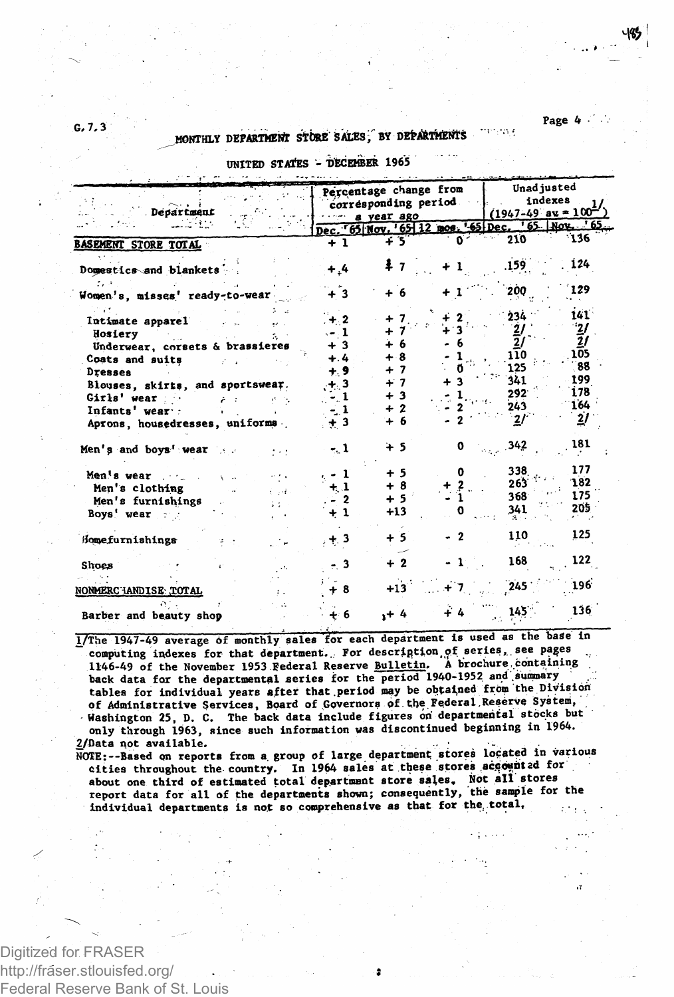Page 4

ergen egy a

## MONTHLY DEPARTMENT STORE SALES, BY DEPARTMENTS

| UNITKU STAIES - UBGEMDER 170J                    |                |                                                              |                                                       |                |                                            |  |  |
|--------------------------------------------------|----------------|--------------------------------------------------------------|-------------------------------------------------------|----------------|--------------------------------------------|--|--|
| Department                                       |                | Percentage change from<br>corresponding period<br>a vear ago | Unad justed<br>indexes<br>$(1947-49)$ av = $100^{-7}$ |                |                                            |  |  |
|                                                  |                |                                                              |                                                       |                | Dec. 65 Nov. 65 12 mos. 65 Dec. 65 Nov. 65 |  |  |
| <b>BASEMENT STORE TOTAL</b>                      | $+1$           | 45                                                           |                                                       | 210            | 136                                        |  |  |
| Domestics and blankets                           | $^{+.4}$       |                                                              |                                                       | 159            | 124                                        |  |  |
| Women's, misses' ready-to-wear                   | + 3            |                                                              |                                                       | 200            | 129                                        |  |  |
| Intimate apparel                                 | $+ 2$<br>-1    |                                                              |                                                       | 234<br>2       | 141<br>$\mathbf{z}$                        |  |  |
| Hosiery<br>a.<br>Underwear, corsets & brassieres | -3             | 6                                                            |                                                       | 2              | 21                                         |  |  |
| Coats and suits<br><b>Dresses</b>                | $+ .4$<br>÷. 9 | $+8$<br>$+7$                                                 |                                                       | 110<br>125     | 105<br>88                                  |  |  |
| Blouses, skirts, and sportswear.                 | . 3            | $+7$                                                         |                                                       | 341<br>292     | 199<br>178                                 |  |  |
| Girls' wear<br>it in<br>Infants' wear :          |                | $+3$<br>$+2$                                                 |                                                       | 243            | 164                                        |  |  |
| Aprons, housedresses, uniforms                   | $+3$           | + 6                                                          |                                                       | $\overline{2}$ | 21                                         |  |  |
| Men's and boys' wear                             | - 1            | ት 5                                                          |                                                       | 342            | 181                                        |  |  |
| Men's wear                                       | . - 1          | + 5<br>+ 8                                                   | o                                                     | 338<br>263     | 177<br>182                                 |  |  |
| Men's clothing<br>الأمراء<br>Men's furnishings   | $+1$<br>-2     | $+5$                                                         |                                                       | 368            | 175                                        |  |  |
| Boys' wear                                       | + 1            | $+13$                                                        |                                                       | 341            | 205.                                       |  |  |
| Homefurnishings                                  | $+3$           | $+5$                                                         | $\boldsymbol{2}$                                      | 110            | 125                                        |  |  |
| Shoes                                            | 3              | $+2$                                                         |                                                       | 168            | 122                                        |  |  |
| <b>NONMERC IANDISE TOTAL</b>                     | - 8            | $+13$                                                        |                                                       | 245            | 196                                        |  |  |
| Barber and beauty shop                           | - 6            | .+ 4                                                         |                                                       | 145            | 136                                        |  |  |

**Abrimare** 1065

1/The 1947-49 average of monthly sales for each department is used as the base in computing indexes for that department. For description of series, see pages 1146-49 of the November 1953 Federal Reserve Bulletin. A brochure containing back data for the departmental series for the period 1940-1952 and summary tables for individual years after that period may be obtained from the Division<br>of Administrative Services, Board of Governors of the Federal Reserve System, Washington 25, D. C. The back data include figures on departmental stocks but only through 1963, since such information was discontinued beginning in 1964. 2/Data not available.

NOTE:--Based on reports from a group of large department stores located in various cities throughout the country. In 1964 sales at these stores accounted for about one third of estimated total department store sales. Not all stores report data for all of the departments shown; consequently, the sample for the individual departments is not so comprehensive as that for the total.

Digitized for FRASER http://fráser.stlouisfed.org/ Federal Reserve Bank of St. Louis